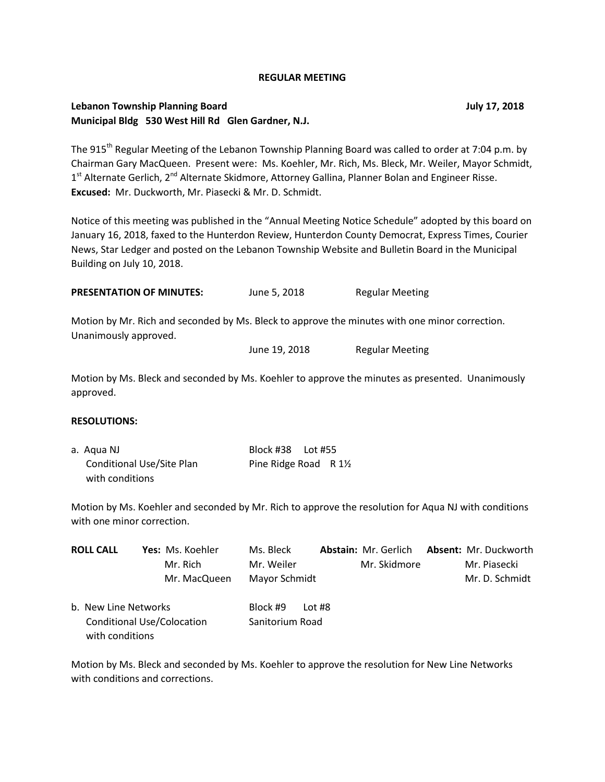### **REGULAR MEETING**

## **Lebanon Township Planning Board July 17, 2018 Municipal Bldg 530 West Hill Rd Glen Gardner, N.J.**

The 915<sup>th</sup> Regular Meeting of the Lebanon Township Planning Board was called to order at 7:04 p.m. by Chairman Gary MacQueen. Present were: Ms. Koehler, Mr. Rich, Ms. Bleck, Mr. Weiler, Mayor Schmidt, 1<sup>st</sup> Alternate Gerlich, 2<sup>nd</sup> Alternate Skidmore, Attorney Gallina, Planner Bolan and Engineer Risse. **Excused:** Mr. Duckworth, Mr. Piasecki & Mr. D. Schmidt.

Notice of this meeting was published in the "Annual Meeting Notice Schedule" adopted by this board on January 16, 2018, faxed to the Hunterdon Review, Hunterdon County Democrat, Express Times, Courier News, Star Ledger and posted on the Lebanon Township Website and Bulletin Board in the Municipal Building on July 10, 2018.

| <b>PRESENTATION OF MINUTES:</b> | June 5, 2018 | <b>Regular Meeting</b> |
|---------------------------------|--------------|------------------------|
|---------------------------------|--------------|------------------------|

Motion by Mr. Rich and seconded by Ms. Bleck to approve the minutes with one minor correction. Unanimously approved.

June 19, 2018 Regular Meeting

Motion by Ms. Bleck and seconded by Ms. Koehler to approve the minutes as presented. Unanimously approved.

### **RESOLUTIONS:**

| a. Agua NJ                | Block #38    Lot #55 |  |
|---------------------------|----------------------|--|
| Conditional Use/Site Plan | Pine Ridge Road R 1½ |  |
| with conditions           |                      |  |

Motion by Ms. Koehler and seconded by Mr. Rich to approve the resolution for Aqua NJ with conditions with one minor correction.

| <b>ROLL CALL</b>                        | Yes: Ms. Koehler<br>Mr. Rich<br>Mr. MacQueen | Ms. Bleck<br>Mr. Weiler<br>Mayor Schmidt |          | <b>Abstain: Mr. Gerlich</b><br>Mr. Skidmore | Absent: Mr. Duckworth<br>Mr. Piasecki<br>Mr. D. Schmidt |
|-----------------------------------------|----------------------------------------------|------------------------------------------|----------|---------------------------------------------|---------------------------------------------------------|
| b. New Line Networks<br>with conditions | <b>Conditional Use/Colocation</b>            | Block #9<br>Sanitorium Road              | Lot $#8$ |                                             |                                                         |

Motion by Ms. Bleck and seconded by Ms. Koehler to approve the resolution for New Line Networks with conditions and corrections.